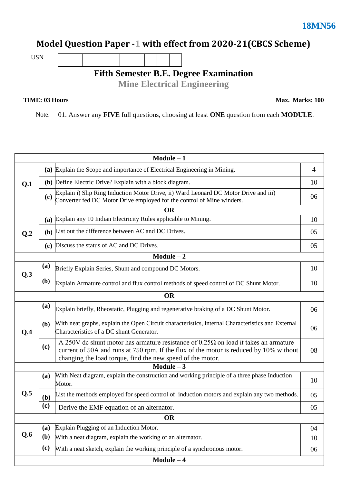## **Model Question Paper -1 with effect from 2020-21(CBCS Scheme)**

USN

**Fifth Semester B.E. Degree Examination**

**Mine Electrical Engineering**

**TIME: 03 Hours** Max. Marks: 100

Note: 01. Answer any **FIVE** full questions, choosing at least **ONE** question from each **MODULE**.

|              |            | $Module - 1$                                                                                                                                                                                                                                        |    |  |  |  |  |  |
|--------------|------------|-----------------------------------------------------------------------------------------------------------------------------------------------------------------------------------------------------------------------------------------------------|----|--|--|--|--|--|
| Q.1          |            | (a) Explain the Scope and importance of Electrical Engineering in Mining.                                                                                                                                                                           |    |  |  |  |  |  |
|              |            | (b) Define Electric Drive? Explain with a block diagram.                                                                                                                                                                                            |    |  |  |  |  |  |
|              | (c)        | Explain i) Slip Ring Induction Motor Drive, ii) Ward Leonard DC Motor Drive and iii)<br>Converter fed DC Motor Drive employed for the control of Mine winders.                                                                                      |    |  |  |  |  |  |
|              |            | <b>OR</b>                                                                                                                                                                                                                                           |    |  |  |  |  |  |
| Q.2          |            | (a) Explain any 10 Indian Electricity Rules applicable to Mining.                                                                                                                                                                                   |    |  |  |  |  |  |
|              |            | (b) List out the difference between AC and DC Drives.                                                                                                                                                                                               |    |  |  |  |  |  |
|              | (c)        | Discuss the status of AC and DC Drives.                                                                                                                                                                                                             |    |  |  |  |  |  |
| $Module - 2$ |            |                                                                                                                                                                                                                                                     |    |  |  |  |  |  |
| Q.3          | (a)        | Briefly Explain Series, Shunt and compound DC Motors.                                                                                                                                                                                               | 10 |  |  |  |  |  |
|              | <b>(b)</b> | Explain Armature control and flux control methods of speed control of DC Shunt Motor.                                                                                                                                                               | 10 |  |  |  |  |  |
|              |            | <b>OR</b>                                                                                                                                                                                                                                           |    |  |  |  |  |  |
|              | (a)        | Explain briefly, Rheostatic, Plugging and regenerative braking of a DC Shunt Motor.                                                                                                                                                                 | 06 |  |  |  |  |  |
| Q.4          | <b>(b)</b> | With neat graphs, explain the Open Circuit characteristics, internal Characteristics and External<br>Characteristics of a DC shunt Generator.                                                                                                       |    |  |  |  |  |  |
|              | (c)        | A 250V dc shunt motor has armature resistance of 0.25 $\Omega$ on load it takes an armature<br>current of 50A and runs at 750 rpm. If the flux of the motor is reduced by 10% without<br>changing the load torque, find the new speed of the motor. |    |  |  |  |  |  |
|              |            | Module $-3$                                                                                                                                                                                                                                         |    |  |  |  |  |  |
|              | (a)        | With Neat diagram, explain the construction and working principle of a three phase Induction<br>Motor.                                                                                                                                              |    |  |  |  |  |  |
| Q.5          | (b)        | List the methods employed for speed control of induction motors and explain any two methods.                                                                                                                                                        |    |  |  |  |  |  |
|              | (c)        | Derive the EMF equation of an alternator.                                                                                                                                                                                                           | 05 |  |  |  |  |  |
|              |            | <b>OR</b>                                                                                                                                                                                                                                           |    |  |  |  |  |  |
|              | (a)        | Explain Plugging of an Induction Motor.                                                                                                                                                                                                             | 04 |  |  |  |  |  |
| Q.6          | (b)        | With a neat diagram, explain the working of an alternator.                                                                                                                                                                                          | 10 |  |  |  |  |  |
|              | (c)        | With a neat sketch, explain the working principle of a synchronous motor.                                                                                                                                                                           | 06 |  |  |  |  |  |
|              |            | $Module - 4$                                                                                                                                                                                                                                        |    |  |  |  |  |  |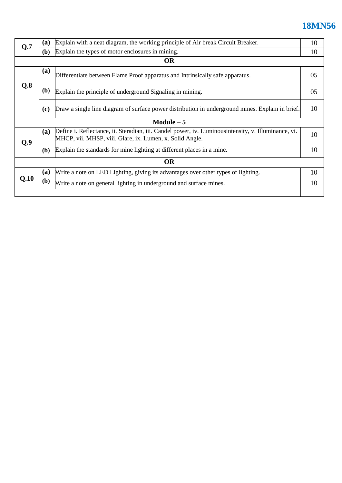## **18MN56**

| Q.7         | (a)          | Explain with a neat diagram, the working principle of Air break Circuit Breaker.                                                                                 |    |  |  |  |  |  |  |
|-------------|--------------|------------------------------------------------------------------------------------------------------------------------------------------------------------------|----|--|--|--|--|--|--|
|             | (b)          | Explain the types of motor enclosures in mining.                                                                                                                 |    |  |  |  |  |  |  |
|             | <b>OR</b>    |                                                                                                                                                                  |    |  |  |  |  |  |  |
| Q.8         | (a)          | Differentiate between Flame Proof apparatus and Intrinsically safe apparatus.                                                                                    |    |  |  |  |  |  |  |
|             | (b)          | Explain the principle of underground Signaling in mining.                                                                                                        |    |  |  |  |  |  |  |
|             | (c)          | Draw a single line diagram of surface power distribution in underground mines. Explain in brief.                                                                 |    |  |  |  |  |  |  |
| Module $-5$ |              |                                                                                                                                                                  |    |  |  |  |  |  |  |
|             | (a)          | Define i. Reflectance, ii. Steradian, iii. Candel power, iv. Luminous intensity, v. Illuminance, vi.<br>MHCP, vii. MHSP, viii. Glare, ix. Lumen, x. Solid Angle. |    |  |  |  |  |  |  |
| Q.9         | (b)          | Explain the standards for mine lighting at different places in a mine.                                                                                           | 10 |  |  |  |  |  |  |
|             | <b>OR</b>    |                                                                                                                                                                  |    |  |  |  |  |  |  |
|             | (a)          | Write a note on LED Lighting, giving its advantages over other types of lighting.                                                                                |    |  |  |  |  |  |  |
| Q.10        | ( <b>b</b> ) | Write a note on general lighting in underground and surface mines.                                                                                               |    |  |  |  |  |  |  |
|             |              |                                                                                                                                                                  |    |  |  |  |  |  |  |